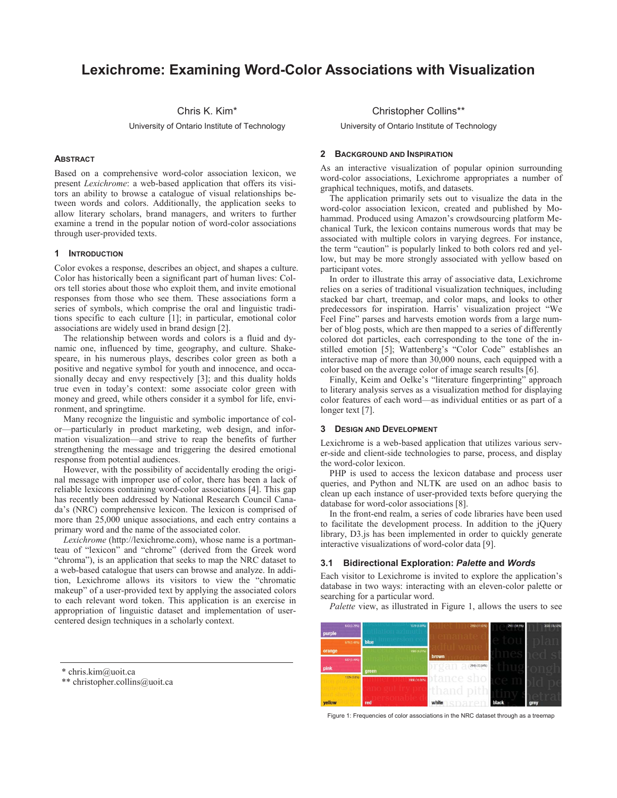# **Lexichrome: Examining Word-Color Associations with Visualization**

Chris K. Kim\*

University of Ontario Institute of Technology

## **ABSTRACT**

Based on a comprehensive word-color association lexicon, we present *Lexichrome*: a web-based application that offers its visitors an ability to browse a catalogue of visual relationships between words and colors. Additionally, the application seeks to allow literary scholars, brand managers, and writers to further examine a trend in the popular notion of word-color associations through user-provided texts.

### **1 INTRODUCTION**

Color evokes a response, describes an object, and shapes a culture. Color has historically been a significant part of human lives: Colors tell stories about those who exploit them, and invite emotional responses from those who see them. These associations form a series of symbols, which comprise the oral and linguistic traditions specific to each culture [1]; in particular, emotional color associations are widely used in brand design [2].

The relationship between words and colors is a fluid and dynamic one, influenced by time, geography, and culture. Shakespeare, in his numerous plays, describes color green as both a positive and negative symbol for youth and innocence, and occasionally decay and envy respectively [3]; and this duality holds true even in today's context: some associate color green with money and greed, while others consider it a symbol for life, environment, and springtime.

Many recognize the linguistic and symbolic importance of color—particularly in product marketing, web design, and information visualization—and strive to reap the benefits of further strengthening the message and triggering the desired emotional response from potential audiences.

However, with the possibility of accidentally eroding the original message with improper use of color, there has been a lack of reliable lexicons containing word-color associations [4]. This gap has recently been addressed by National Research Council Canada's (NRC) comprehensive lexicon. The lexicon is comprised of more than 25,000 unique associations, and each entry contains a primary word and the name of the associated color.

*Lexichrome* (http://lexichrome.com), whose name is a portmanteau of "lexicon" and "chrome" (derived from the Greek word "chroma"), is an application that seeks to map the NRC dataset to a web-based catalogue that users can browse and analyze. In addition, Lexichrome allows its visitors to view the "chromatic makeup" of a user-provided text by applying the associated colors to each relevant word token. This application is an exercise in appropriation of linguistic dataset and implementation of usercentered design techniques in a scholarly context.

#### Christopher Collins\*\*

University of Ontario Institute of Technology

#### **2 BACKGROUND AND INSPIRATION**

As an interactive visualization of popular opinion surrounding word-color associations, Lexichrome appropriates a number of graphical techniques, motifs, and datasets.

The application primarily sets out to visualize the data in the word-color association lexicon, created and published by Mohammad. Produced using Amazon's crowdsourcing platform Mechanical Turk, the lexicon contains numerous words that may be associated with multiple colors in varying degrees. For instance, the term "caution" is popularly linked to both colors red and yellow, but may be more strongly associated with yellow based on participant votes.

In order to illustrate this array of associative data, Lexichrome relies on a series of traditional visualization techniques, including stacked bar chart, treemap, and color maps, and looks to other predecessors for inspiration. Harris' visualization project "We Feel Fine" parses and harvests emotion words from a large number of blog posts, which are then mapped to a series of differently colored dot particles, each corresponding to the tone of the instilled emotion [5]; Wattenberg's "Color Code" establishes an interactive map of more than 30,000 nouns, each equipped with a color based on the average color of image search results [6].

Finally, Keim and Oelke's "literature fingerprinting" approach to literary analysis serves as a visualization method for displaying color features of each word—as individual entities or as part of a longer text [7].

### **3 DESIGN AND DEVELOPMENT**

Lexichrome is a web-based application that utilizes various server-side and client-side technologies to parse, process, and display the word-color lexicon.

PHP is used to access the lexicon database and process user queries, and Python and NLTK are used on an adhoc basis to clean up each instance of user-provided texts before querying the database for word-color associations [8].

In the front-end realm, a series of code libraries have been used to facilitate the development process. In addition to the jQuery library, D3.js has been implemented in order to quickly generate interactive visualizations of word-color data [9].

#### **3.1 Bidirectional Exploration:** *Palette* **and** *Words*

Each visitor to Lexichrome is invited to explore the application's database in two ways: interacting with an eleven-color palette or searching for a particular word.

*Palette* view, as illustrated in Figure 1, allows the users to see



Figure 1: Frequencies of color associations in the NRC dataset through as a treemap

<sup>\*</sup> chris.kim@uoit.ca

<sup>\*\*</sup> christopher.collins@uoit.ca